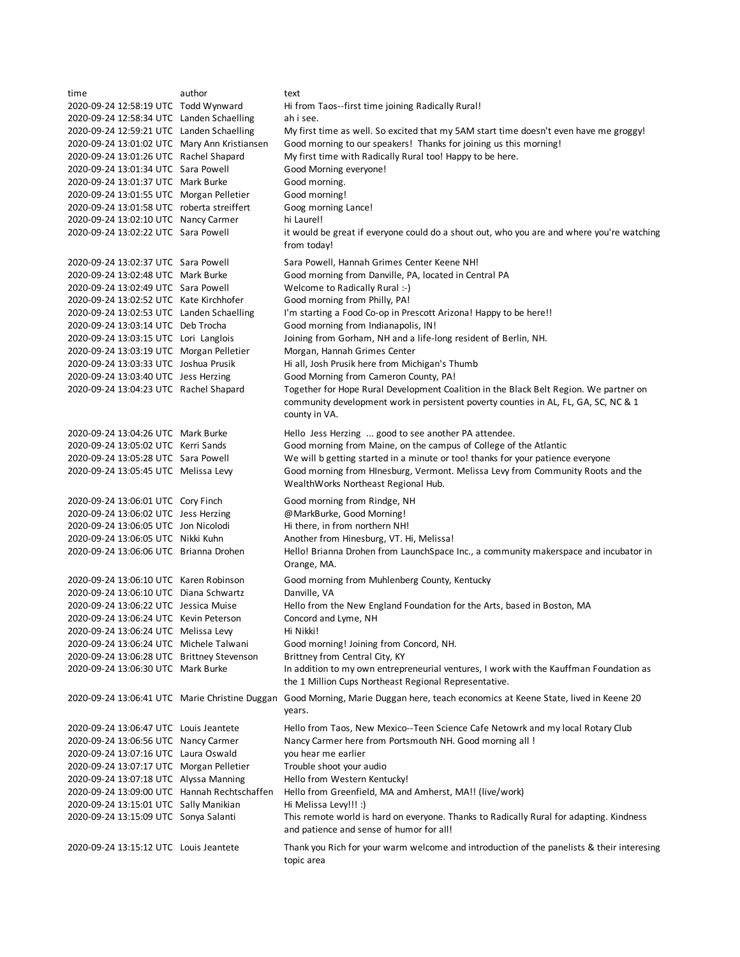| time                                         | author | text                                                                                                                              |
|----------------------------------------------|--------|-----------------------------------------------------------------------------------------------------------------------------------|
| 2020-09-24 12:58:19 UTC Todd Wynward         |        | Hi from Taos--first time joining Radically Rural!                                                                                 |
| 2020-09-24 12:58:34 UTC Landen Schaelling    |        | ah i see.                                                                                                                         |
| 2020-09-24 12:59:21 UTC Landen Schaelling    |        | My first time as well. So excited that my 5AM start time doesn't even have me groggy!                                             |
| 2020-09-24 13:01:02 UTC Mary Ann Kristiansen |        | Good morning to our speakers! Thanks for joining us this morning!                                                                 |
| 2020-09-24 13:01:26 UTC Rachel Shapard       |        | My first time with Radically Rural too! Happy to be here.                                                                         |
| 2020-09-24 13:01:34 UTC Sara Powell          |        | Good Morning everyone!                                                                                                            |
| 2020-09-24 13:01:37 UTC Mark Burke           |        | Good morning.                                                                                                                     |
| 2020-09-24 13:01:55 UTC Morgan Pelletier     |        | Good morning!                                                                                                                     |
| 2020-09-24 13:01:58 UTC roberta streiffert   |        | Goog morning Lance!                                                                                                               |
| 2020-09-24 13:02:10 UTC Nancy Carmer         |        | hi Laurel!                                                                                                                        |
| 2020-09-24 13:02:22 UTC Sara Powell          |        | it would be great if everyone could do a shout out, who you are and where you're watching                                         |
|                                              |        | from today!                                                                                                                       |
|                                              |        |                                                                                                                                   |
| 2020-09-24 13:02:37 UTC Sara Powell          |        | Sara Powell, Hannah Grimes Center Keene NH!                                                                                       |
| 2020-09-24 13:02:48 UTC Mark Burke           |        | Good morning from Danville, PA, located in Central PA                                                                             |
| 2020-09-24 13:02:49 UTC Sara Powell          |        | Welcome to Radically Rural :-)                                                                                                    |
| 2020-09-24 13:02:52 UTC Kate Kirchhofer      |        | Good morning from Philly, PA!                                                                                                     |
| 2020-09-24 13:02:53 UTC Landen Schaelling    |        | I'm starting a Food Co-op in Prescott Arizona! Happy to be here!!                                                                 |
| 2020-09-24 13:03:14 UTC Deb Trocha           |        | Good morning from Indianapolis, IN!                                                                                               |
| 2020-09-24 13:03:15 UTC Lori Langlois        |        | Joining from Gorham, NH and a life-long resident of Berlin, NH.                                                                   |
| 2020-09-24 13:03:19 UTC Morgan Pelletier     |        | Morgan, Hannah Grimes Center                                                                                                      |
| 2020-09-24 13:03:33 UTC Joshua Prusik        |        | Hi all, Josh Prusik here from Michigan's Thumb                                                                                    |
| 2020-09-24 13:03:40 UTC Jess Herzing         |        | Good Morning from Cameron County, PA!                                                                                             |
| 2020-09-24 13:04:23 UTC Rachel Shapard       |        | Together for Hope Rural Development Coalition in the Black Belt Region. We partner on                                             |
|                                              |        | community development work in persistent poverty counties in AL, FL, GA, SC, NC & 1                                               |
|                                              |        | county in VA.                                                                                                                     |
| 2020-09-24 13:04:26 UTC Mark Burke           |        | Hello Jess Herzing  good to see another PA attendee.                                                                              |
| 2020-09-24 13:05:02 UTC Kerri Sands          |        | Good morning from Maine, on the campus of College of the Atlantic                                                                 |
| 2020-09-24 13:05:28 UTC Sara Powell          |        | We will b getting started in a minute or too! thanks for your patience everyone                                                   |
| 2020-09-24 13:05:45 UTC Melissa Levy         |        | Good morning from HInesburg, Vermont. Melissa Levy from Community Roots and the                                                   |
|                                              |        | WealthWorks Northeast Regional Hub.                                                                                               |
|                                              |        |                                                                                                                                   |
| 2020-09-24 13:06:01 UTC Cory Finch           |        | Good morning from Rindge, NH                                                                                                      |
| 2020-09-24 13:06:02 UTC Jess Herzing         |        | @MarkBurke, Good Morning!                                                                                                         |
| 2020-09-24 13:06:05 UTC Jon Nicolodi         |        | Hi there, in from northern NH!                                                                                                    |
| 2020-09-24 13:06:05 UTC Nikki Kuhn           |        | Another from Hinesburg, VT. Hi, Melissa!                                                                                          |
| 2020-09-24 13:06:06 UTC Brianna Drohen       |        | Hello! Brianna Drohen from LaunchSpace Inc., a community makerspace and incubator in                                              |
|                                              |        | Orange, MA.                                                                                                                       |
| 2020-09-24 13:06:10 UTC Karen Robinson       |        | Good morning from Muhlenberg County, Kentucky                                                                                     |
| 2020-09-24 13:06:10 UTC Diana Schwartz       |        | Danville, VA                                                                                                                      |
| 2020-09-24 13:06:22 UTC Jessica Muise        |        | Hello from the New England Foundation for the Arts, based in Boston, MA                                                           |
| 2020-09-24 13:06:24 UTC Kevin Peterson       |        | Concord and Lyme, NH                                                                                                              |
| 2020-09-24 13:06:24 UTC Melissa Levy         |        | Hi Nikki!                                                                                                                         |
| 2020-09-24 13:06:24 UTC Michele Talwani      |        | Good morning! Joining from Concord, NH.                                                                                           |
| 2020-09-24 13:06:28 UTC Brittney Stevenson   |        | Brittney from Central City, KY                                                                                                    |
| 2020-09-24 13:06:30 UTC Mark Burke           |        | In addition to my own entrepreneurial ventures, I work with the Kauffman Foundation as                                            |
|                                              |        | the 1 Million Cups Northeast Regional Representative.                                                                             |
|                                              |        |                                                                                                                                   |
|                                              |        | 2020-09-24 13:06:41 UTC Marie Christine Duggan Good Morning, Marie Duggan here, teach economics at Keene State, lived in Keene 20 |
|                                              |        | years.                                                                                                                            |
| 2020-09-24 13:06:47 UTC Louis Jeantete       |        | Hello from Taos, New Mexico--Teen Science Cafe Netowrk and my local Rotary Club                                                   |
| 2020-09-24 13:06:56 UTC Nancy Carmer         |        | Nancy Carmer here from Portsmouth NH. Good morning all !                                                                          |
| 2020-09-24 13:07:16 UTC Laura Oswald         |        | you hear me earlier                                                                                                               |
| 2020-09-24 13:07:17 UTC Morgan Pelletier     |        | Trouble shoot your audio                                                                                                          |
| 2020-09-24 13:07:18 UTC Alyssa Manning       |        | Hello from Western Kentucky!                                                                                                      |
| 2020-09-24 13:09:00 UTC Hannah Rechtschaffen |        | Hello from Greenfield, MA and Amherst, MA!! (live/work)                                                                           |
| 2020-09-24 13:15:01 UTC Sally Manikian       |        | Hi Melissa Levy!!! :)                                                                                                             |
| 2020-09-24 13:15:09 UTC Sonya Salanti        |        | This remote world is hard on everyone. Thanks to Radically Rural for adapting. Kindness                                           |
|                                              |        | and patience and sense of humor for all!                                                                                          |
| 2020-09-24 13:15:12 UTC Louis Jeantete       |        | Thank you Rich for your warm welcome and introduction of the panelists & their interesing                                         |
|                                              |        | topic area                                                                                                                        |
|                                              |        |                                                                                                                                   |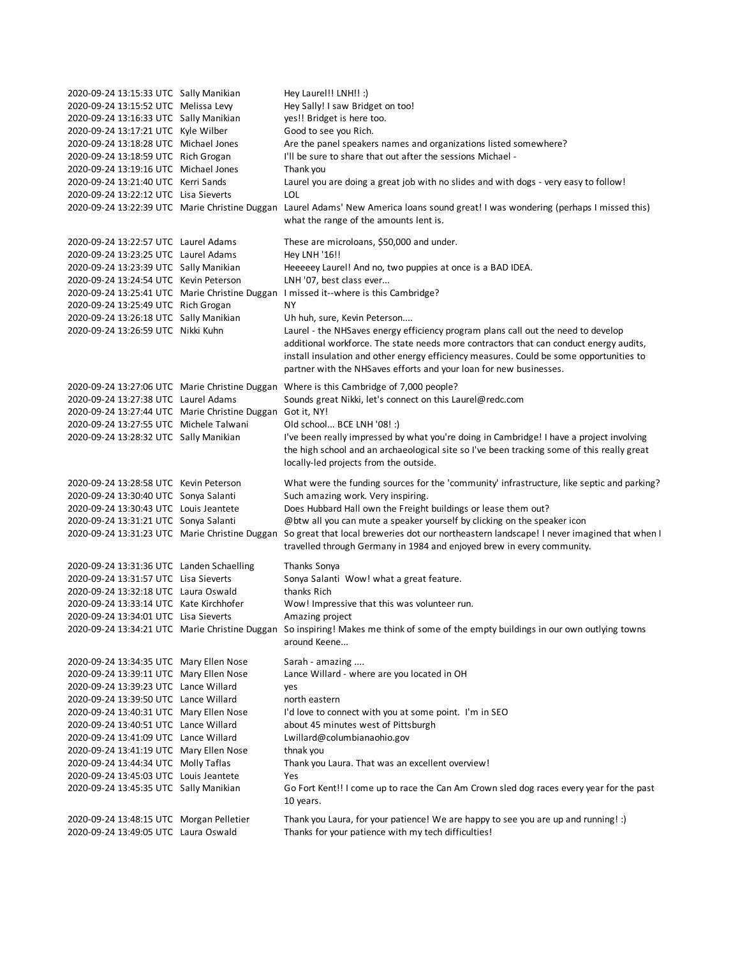| 2020-09-24 13:15:33 UTC Sally Manikian<br>2020-09-24 13:15:52 UTC Melissa Levy<br>2020-09-24 13:16:33 UTC Sally Manikian<br>2020-09-24 13:17:21 UTC Kyle Wilber<br>2020-09-24 13:18:28 UTC Michael Jones<br>2020-09-24 13:18:59 UTC Rich Grogan<br>2020-09-24 13:19:16 UTC Michael Jones<br>2020-09-24 13:21:40 UTC Kerri Sands<br>2020-09-24 13:22:12 UTC Lisa Sieverts                                                                                                                                             | Hey Laurel!! LNH!! :)<br>Hey Sally! I saw Bridget on too!<br>yes!! Bridget is here too.<br>Good to see you Rich.<br>Are the panel speakers names and organizations listed somewhere?<br>I'll be sure to share that out after the sessions Michael -<br>Thank you<br>Laurel you are doing a great job with no slides and with dogs - very easy to follow!<br>LOL<br>2020-09-24 13:22:39 UTC Marie Christine Duggan Laurel Adams' New America loans sound great! I was wondering (perhaps I missed this)<br>what the range of the amounts lent is.                                                                                    |
|----------------------------------------------------------------------------------------------------------------------------------------------------------------------------------------------------------------------------------------------------------------------------------------------------------------------------------------------------------------------------------------------------------------------------------------------------------------------------------------------------------------------|-------------------------------------------------------------------------------------------------------------------------------------------------------------------------------------------------------------------------------------------------------------------------------------------------------------------------------------------------------------------------------------------------------------------------------------------------------------------------------------------------------------------------------------------------------------------------------------------------------------------------------------|
| 2020-09-24 13:22:57 UTC Laurel Adams<br>2020-09-24 13:23:25 UTC Laurel Adams<br>2020-09-24 13:23:39 UTC Sally Manikian<br>2020-09-24 13:24:54 UTC Kevin Peterson<br>2020-09-24 13:25:49 UTC Rich Grogan<br>2020-09-24 13:26:18 UTC Sally Manikian<br>2020-09-24 13:26:59 UTC Nikki Kuhn                                                                                                                                                                                                                              | These are microloans, \$50,000 and under.<br>Hey LNH '16!!<br>Heeeeey Laurel! And no, two puppies at once is a BAD IDEA.<br>LNH '07, best class ever<br>2020-09-24 13:25:41 UTC Marie Christine Duggan I missed it--where is this Cambridge?<br>NY.<br>Uh huh, sure, Kevin Peterson<br>Laurel - the NHSaves energy efficiency program plans call out the need to develop<br>additional workforce. The state needs more contractors that can conduct energy audits,<br>install insulation and other energy efficiency measures. Could be some opportunities to<br>partner with the NHSaves efforts and your loan for new businesses. |
| 2020-09-24 13:27:38 UTC Laurel Adams<br>2020-09-24 13:27:44 UTC Marie Christine Duggan Got it, NY!<br>2020-09-24 13:27:55 UTC Michele Talwani<br>2020-09-24 13:28:32 UTC Sally Manikian                                                                                                                                                                                                                                                                                                                              | 2020-09-24 13:27:06 UTC Marie Christine Duggan Where is this Cambridge of 7,000 people?<br>Sounds great Nikki, let's connect on this Laurel@redc.com<br>Old school BCE LNH '08! :)<br>I've been really impressed by what you're doing in Cambridge! I have a project involving<br>the high school and an archaeological site so I've been tracking some of this really great<br>locally-led projects from the outside.                                                                                                                                                                                                              |
| 2020-09-24 13:28:58 UTC Kevin Peterson<br>2020-09-24 13:30:40 UTC Sonya Salanti<br>2020-09-24 13:30:43 UTC Louis Jeantete<br>2020-09-24 13:31:21 UTC Sonya Salanti                                                                                                                                                                                                                                                                                                                                                   | What were the funding sources for the 'community' infrastructure, like septic and parking?<br>Such amazing work. Very inspiring.<br>Does Hubbard Hall own the Freight buildings or lease them out?<br>@btw all you can mute a speaker yourself by clicking on the speaker icon<br>2020-09-24 13:31:23 UTC Marie Christine Duggan So great that local breweries dot our northeastern landscape! I never imagined that when I<br>travelled through Germany in 1984 and enjoyed brew in every community.                                                                                                                               |
| 2020-09-24 13:31:36 UTC Landen Schaelling<br>2020-09-24 13:31:57 UTC Lisa Sieverts<br>2020-09-24 13:32:18 UTC Laura Oswald<br>2020-09-24 13:33:14 UTC Kate Kirchhofer<br>2020-09-24 13:34:01 UTC Lisa Sieverts                                                                                                                                                                                                                                                                                                       | Thanks Sonya<br>Sonya Salanti Wow! what a great feature.<br>thanks Rich<br>Wow! Impressive that this was volunteer run.<br>Amazing project<br>2020-09-24 13:34:21 UTC Marie Christine Duggan So inspiring! Makes me think of some of the empty buildings in our own outlying towns<br>around Keene                                                                                                                                                                                                                                                                                                                                  |
| 2020-09-24 13:34:35 UTC Mary Ellen Nose<br>2020-09-24 13:39:11 UTC Mary Ellen Nose<br>2020-09-24 13:39:23 UTC Lance Willard<br>2020-09-24 13:39:50 UTC Lance Willard<br>2020-09-24 13:40:31 UTC Mary Ellen Nose<br>2020-09-24 13:40:51 UTC Lance Willard<br>2020-09-24 13:41:09 UTC Lance Willard<br>2020-09-24 13:41:19 UTC Mary Ellen Nose<br>2020-09-24 13:44:34 UTC Molly Taflas<br>2020-09-24 13:45:03 UTC Louis Jeantete<br>2020-09-24 13:45:35 UTC Sally Manikian<br>2020-09-24 13:48:15 UTC Morgan Pelletier | Sarah - amazing<br>Lance Willard - where are you located in OH<br>yes<br>north eastern<br>I'd love to connect with you at some point. I'm in SEO<br>about 45 minutes west of Pittsburgh<br>Lwillard@columbianaohio.gov<br>thnak you<br>Thank you Laura. That was an excellent overview!<br>Yes<br>Go Fort Kent!! I come up to race the Can Am Crown sled dog races every year for the past<br>10 years.<br>Thank you Laura, for your patience! We are happy to see you are up and running! :)                                                                                                                                       |
| 2020-09-24 13:49:05 UTC Laura Oswald                                                                                                                                                                                                                                                                                                                                                                                                                                                                                 | Thanks for your patience with my tech difficulties!                                                                                                                                                                                                                                                                                                                                                                                                                                                                                                                                                                                 |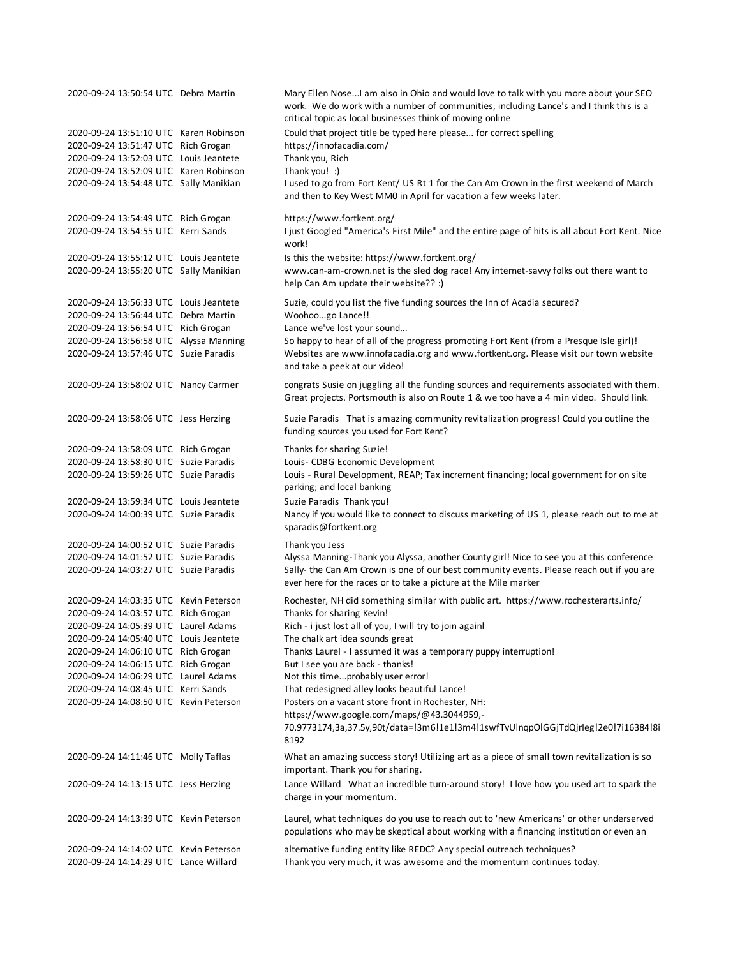| 2020-09-24 13:50:54 UTC Debra Martin   | Mary Ellen NoseI am also in Ohio and would love to talk with you more about your SEO<br>work. We do work with a number of communities, including Lance's and I think this is a<br>critical topic as local businesses think of moving online |
|----------------------------------------|---------------------------------------------------------------------------------------------------------------------------------------------------------------------------------------------------------------------------------------------|
| 2020-09-24 13:51:10 UTC Karen Robinson | Could that project title be typed here please for correct spelling                                                                                                                                                                          |
| 2020-09-24 13:51:47 UTC Rich Grogan    | https://innofacadia.com/                                                                                                                                                                                                                    |
| 2020-09-24 13:52:03 UTC Louis Jeantete | Thank you, Rich                                                                                                                                                                                                                             |
| 2020-09-24 13:52:09 UTC Karen Robinson | Thank you! :)                                                                                                                                                                                                                               |
| 2020-09-24 13:54:48 UTC Sally Manikian | I used to go from Fort Kent/ US Rt 1 for the Can Am Crown in the first weekend of March                                                                                                                                                     |
|                                        | and then to Key West MM0 in April for vacation a few weeks later.                                                                                                                                                                           |
| 2020-09-24 13:54:49 UTC Rich Grogan    | https://www.fortkent.org/                                                                                                                                                                                                                   |
| 2020-09-24 13:54:55 UTC Kerri Sands    | I just Googled "America's First Mile" and the entire page of hits is all about Fort Kent. Nice<br>work!                                                                                                                                     |
| 2020-09-24 13:55:12 UTC Louis Jeantete | Is this the website: https://www.fortkent.org/                                                                                                                                                                                              |
| 2020-09-24 13:55:20 UTC Sally Manikian | www.can-am-crown.net is the sled dog race! Any internet-savvy folks out there want to<br>help Can Am update their website?? :)                                                                                                              |
| 2020-09-24 13:56:33 UTC Louis Jeantete | Suzie, could you list the five funding sources the Inn of Acadia secured?                                                                                                                                                                   |
| 2020-09-24 13:56:44 UTC Debra Martin   | Woohoogo Lance!!                                                                                                                                                                                                                            |
| 2020-09-24 13:56:54 UTC Rich Grogan    | Lance we've lost your sound                                                                                                                                                                                                                 |
| 2020-09-24 13:56:58 UTC Alyssa Manning | So happy to hear of all of the progress promoting Fort Kent (from a Presque Isle girl)!                                                                                                                                                     |
| 2020-09-24 13:57:46 UTC Suzie Paradis  | Websites are www.innofacadia.org and www.fortkent.org. Please visit our town website<br>and take a peek at our video!                                                                                                                       |
| 2020-09-24 13:58:02 UTC Nancy Carmer   | congrats Susie on juggling all the funding sources and requirements associated with them.<br>Great projects. Portsmouth is also on Route 1 & we too have a 4 min video. Should link.                                                        |
| 2020-09-24 13:58:06 UTC Jess Herzing   | Suzie Paradis That is amazing community revitalization progress! Could you outline the<br>funding sources you used for Fort Kent?                                                                                                           |
| 2020-09-24 13:58:09 UTC Rich Grogan    | Thanks for sharing Suzie!                                                                                                                                                                                                                   |
| 2020-09-24 13:58:30 UTC Suzie Paradis  | Louis- CDBG Economic Development                                                                                                                                                                                                            |
| 2020-09-24 13:59:26 UTC Suzie Paradis  | Louis - Rural Development, REAP; Tax increment financing; local government for on site                                                                                                                                                      |
|                                        | parking; and local banking                                                                                                                                                                                                                  |
| 2020-09-24 13:59:34 UTC Louis Jeantete | Suzie Paradis Thank you!                                                                                                                                                                                                                    |
| 2020-09-24 14:00:39 UTC Suzie Paradis  | Nancy if you would like to connect to discuss marketing of US 1, please reach out to me at<br>sparadis@fortkent.org                                                                                                                         |
| 2020-09-24 14:00:52 UTC Suzie Paradis  | Thank you Jess                                                                                                                                                                                                                              |
| 2020-09-24 14:01:52 UTC Suzie Paradis  | Alyssa Manning-Thank you Alyssa, another County girl! Nice to see you at this conference                                                                                                                                                    |
| 2020-09-24 14:03:27 UTC Suzie Paradis  | Sally- the Can Am Crown is one of our best community events. Please reach out if you are                                                                                                                                                    |
|                                        | ever here for the races or to take a picture at the Mile marker                                                                                                                                                                             |
| 2020-09-24 14:03:35 UTC Kevin Peterson | Rochester, NH did something similar with public art. https://www.rochesterarts.info/                                                                                                                                                        |
| 2020-09-24 14:03:57 UTC Rich Grogan    | Thanks for sharing Kevin!                                                                                                                                                                                                                   |
| 2020-09-24 14:05:39 UTC Laurel Adams   | Rich - i just lost all of you, I will try to join againl                                                                                                                                                                                    |
| 2020-09-24 14:05:40 UTC Louis Jeantete | The chalk art idea sounds great                                                                                                                                                                                                             |
| 2020-09-24 14:06:10 UTC Rich Grogan    | Thanks Laurel - I assumed it was a temporary puppy interruption!                                                                                                                                                                            |
| 2020-09-24 14:06:15 UTC Rich Grogan    | But I see you are back - thanks!                                                                                                                                                                                                            |
| 2020-09-24 14:06:29 UTC Laurel Adams   | Not this timeprobably user error!                                                                                                                                                                                                           |
| 2020-09-24 14:08:45 UTC Kerri Sands    | That redesigned alley looks beautiful Lance!                                                                                                                                                                                                |
| 2020-09-24 14:08:50 UTC Kevin Peterson | Posters on a vacant store front in Rochester, NH:                                                                                                                                                                                           |
|                                        | https://www.google.com/maps/@43.3044959,-                                                                                                                                                                                                   |
|                                        | 70.9773174,3a,37.5y,90t/data=!3m6!1e1!3m4!1swfTvUInqpOIGGjTdQjrleg!2e0!7i16384!8i<br>8192                                                                                                                                                   |
| 2020-09-24 14:11:46 UTC Molly Taflas   | What an amazing success story! Utilizing art as a piece of small town revitalization is so<br>important. Thank you for sharing.                                                                                                             |
| 2020-09-24 14:13:15 UTC Jess Herzing   | Lance Willard What an incredible turn-around story! I love how you used art to spark the<br>charge in your momentum.                                                                                                                        |
| 2020-09-24 14:13:39 UTC Kevin Peterson | Laurel, what techniques do you use to reach out to 'new Americans' or other underserved<br>populations who may be skeptical about working with a financing institution or even an                                                           |
| 2020-09-24 14:14:02 UTC Kevin Peterson | alternative funding entity like REDC? Any special outreach techniques?                                                                                                                                                                      |
| 2020-09-24 14:14:29 UTC Lance Willard  | Thank you very much, it was awesome and the momentum continues today.                                                                                                                                                                       |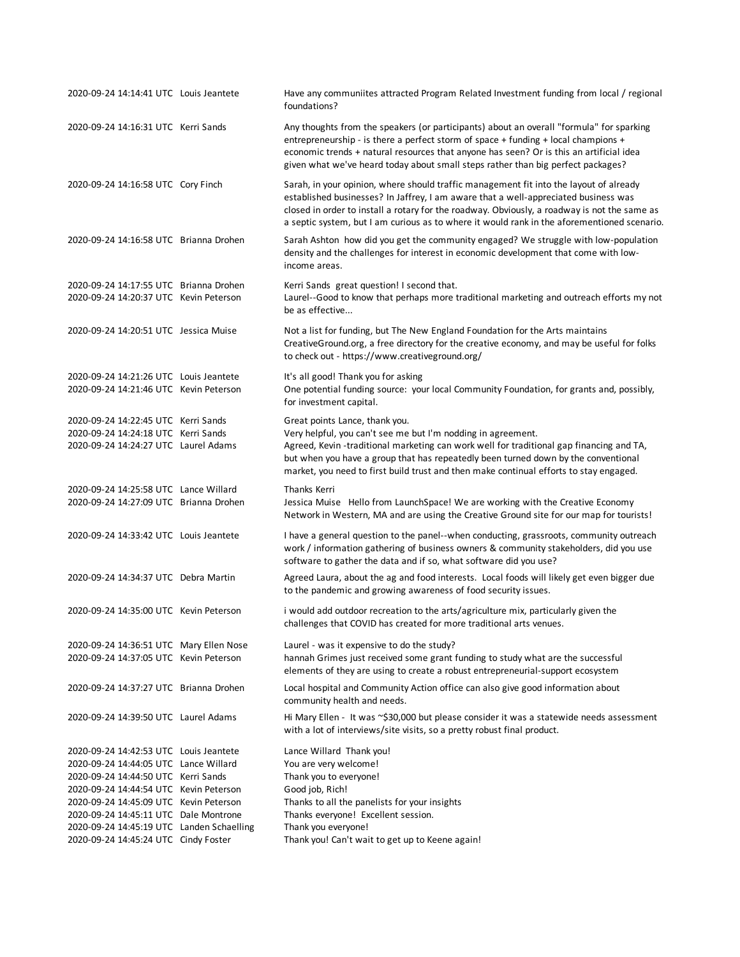| 2020-09-24 14:14:41 UTC Louis Jeantete                                           | Have any communiites attracted Program Related Investment funding from local / regional<br>foundations?                                                                                                                                                                                                                                                                      |
|----------------------------------------------------------------------------------|------------------------------------------------------------------------------------------------------------------------------------------------------------------------------------------------------------------------------------------------------------------------------------------------------------------------------------------------------------------------------|
| 2020-09-24 14:16:31 UTC Kerri Sands                                              | Any thoughts from the speakers (or participants) about an overall "formula" for sparking<br>entrepreneurship - is there a perfect storm of space + funding + local champions +<br>economic trends + natural resources that anyone has seen? Or is this an artificial idea<br>given what we've heard today about small steps rather than big perfect packages?                |
| 2020-09-24 14:16:58 UTC Cory Finch                                               | Sarah, in your opinion, where should traffic management fit into the layout of already<br>established businesses? In Jaffrey, I am aware that a well-appreciated business was<br>closed in order to install a rotary for the roadway. Obviously, a roadway is not the same as<br>a septic system, but I am curious as to where it would rank in the aforementioned scenario. |
| 2020-09-24 14:16:58 UTC Brianna Drohen                                           | Sarah Ashton how did you get the community engaged? We struggle with low-population<br>density and the challenges for interest in economic development that come with low-<br>income areas.                                                                                                                                                                                  |
| 2020-09-24 14:17:55 UTC Brianna Drohen<br>2020-09-24 14:20:37 UTC Kevin Peterson | Kerri Sands great question! I second that.<br>Laurel--Good to know that perhaps more traditional marketing and outreach efforts my not<br>be as effective                                                                                                                                                                                                                    |
| 2020-09-24 14:20:51 UTC Jessica Muise                                            | Not a list for funding, but The New England Foundation for the Arts maintains<br>CreativeGround.org, a free directory for the creative economy, and may be useful for folks<br>to check out - https://www.creativeground.org/                                                                                                                                                |
| 2020-09-24 14:21:26 UTC Louis Jeantete<br>2020-09-24 14:21:46 UTC Kevin Peterson | It's all good! Thank you for asking<br>One potential funding source: your local Community Foundation, for grants and, possibly,<br>for investment capital.                                                                                                                                                                                                                   |
| 2020-09-24 14:22:45 UTC Kerri Sands                                              | Great points Lance, thank you.                                                                                                                                                                                                                                                                                                                                               |
| 2020-09-24 14:24:18 UTC Kerri Sands                                              | Very helpful, you can't see me but I'm nodding in agreement.                                                                                                                                                                                                                                                                                                                 |
| 2020-09-24 14:24:27 UTC Laurel Adams                                             | Agreed, Kevin -traditional marketing can work well for traditional gap financing and TA,<br>but when you have a group that has repeatedly been turned down by the conventional<br>market, you need to first build trust and then make continual efforts to stay engaged.                                                                                                     |
| 2020-09-24 14:25:58 UTC Lance Willard                                            | Thanks Kerri                                                                                                                                                                                                                                                                                                                                                                 |
| 2020-09-24 14:27:09 UTC Brianna Drohen                                           | Jessica Muise Hello from LaunchSpace! We are working with the Creative Economy<br>Network in Western, MA and are using the Creative Ground site for our map for tourists!                                                                                                                                                                                                    |
| 2020-09-24 14:33:42 UTC Louis Jeantete                                           | I have a general question to the panel--when conducting, grassroots, community outreach<br>work / information gathering of business owners & community stakeholders, did you use<br>software to gather the data and if so, what software did you use?                                                                                                                        |
| 2020-09-24 14:34:37 UTC Debra Martin                                             | Agreed Laura, about the ag and food interests. Local foods will likely get even bigger due<br>to the pandemic and growing awareness of food security issues.                                                                                                                                                                                                                 |
| 2020-09-24 14:35:00 UTC Kevin Peterson                                           | i would add outdoor recreation to the arts/agriculture mix, particularly given the<br>challenges that COVID has created for more traditional arts venues.                                                                                                                                                                                                                    |
| 2020-09-24 14:36:51 UTC Mary Ellen Nose                                          | Laurel - was it expensive to do the study?                                                                                                                                                                                                                                                                                                                                   |
| 2020-09-24 14:37:05 UTC Kevin Peterson                                           | hannah Grimes just received some grant funding to study what are the successful<br>elements of they are using to create a robust entrepreneurial-support ecosystem                                                                                                                                                                                                           |
| 2020-09-24 14:37:27 UTC Brianna Drohen                                           | Local hospital and Community Action office can also give good information about<br>community health and needs.                                                                                                                                                                                                                                                               |
| 2020-09-24 14:39:50 UTC Laurel Adams                                             | Hi Mary Ellen - It was ~\$30,000 but please consider it was a statewide needs assessment<br>with a lot of interviews/site visits, so a pretty robust final product.                                                                                                                                                                                                          |
| 2020-09-24 14:42:53 UTC Louis Jeantete                                           | Lance Willard Thank you!                                                                                                                                                                                                                                                                                                                                                     |
| 2020-09-24 14:44:05 UTC Lance Willard                                            | You are very welcome!                                                                                                                                                                                                                                                                                                                                                        |
| 2020-09-24 14:44:50 UTC Kerri Sands                                              | Thank you to everyone!                                                                                                                                                                                                                                                                                                                                                       |
| 2020-09-24 14:44:54 UTC Kevin Peterson                                           | Good job, Rich!                                                                                                                                                                                                                                                                                                                                                              |
| 2020-09-24 14:45:09 UTC Kevin Peterson                                           | Thanks to all the panelists for your insights                                                                                                                                                                                                                                                                                                                                |
| 2020-09-24 14:45:11 UTC Dale Montrone                                            | Thanks everyone! Excellent session.                                                                                                                                                                                                                                                                                                                                          |
| 2020-09-24 14:45:19 UTC Landen Schaelling                                        | Thank you everyone!                                                                                                                                                                                                                                                                                                                                                          |
| 2020-09-24 14:45:24 UTC Cindy Foster                                             | Thank you! Can't wait to get up to Keene again!                                                                                                                                                                                                                                                                                                                              |